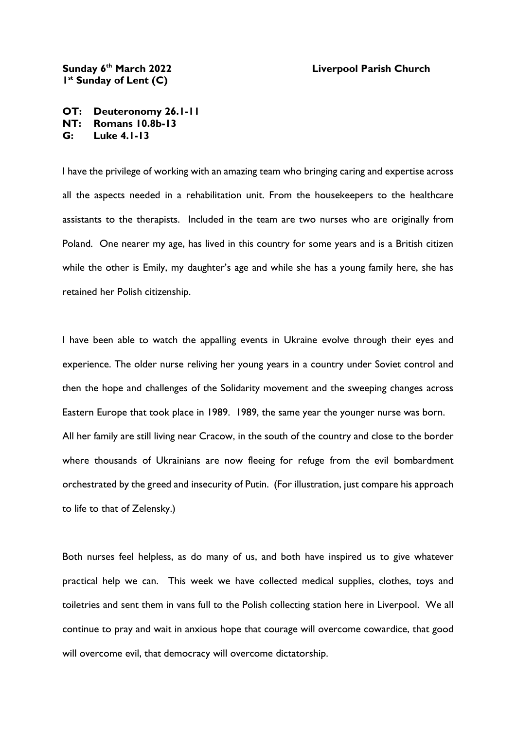## Sunday 6<sup>th</sup> March 2022 **1 st Sunday of Lent (C)**

## **th March 2022 Liverpool Parish Church**

**OT: Deuteronomy 26.1-11 NT: Romans 10.8b-13 G: Luke 4.1-13**

I have the privilege of working with an amazing team who bringing caring and expertise across all the aspects needed in a rehabilitation unit. From the housekeepers to the healthcare assistants to the therapists. Included in the team are two nurses who are originally from Poland. One nearer my age, has lived in this country for some years and is a British citizen while the other is Emily, my daughter's age and while she has a young family here, she has retained her Polish citizenship.

I have been able to watch the appalling events in Ukraine evolve through their eyes and experience. The older nurse reliving her young years in a country under Soviet control and then the hope and challenges of the Solidarity movement and the sweeping changes across Eastern Europe that took place in 1989. 1989, the same year the younger nurse was born. All her family are still living near Cracow, in the south of the country and close to the border where thousands of Ukrainians are now fleeing for refuge from the evil bombardment orchestrated by the greed and insecurity of Putin. (For illustration, just compare his approach to life to that of Zelensky.)

Both nurses feel helpless, as do many of us, and both have inspired us to give whatever practical help we can. This week we have collected medical supplies, clothes, toys and toiletries and sent them in vans full to the Polish collecting station here in Liverpool. We all continue to pray and wait in anxious hope that courage will overcome cowardice, that good will overcome evil, that democracy will overcome dictatorship.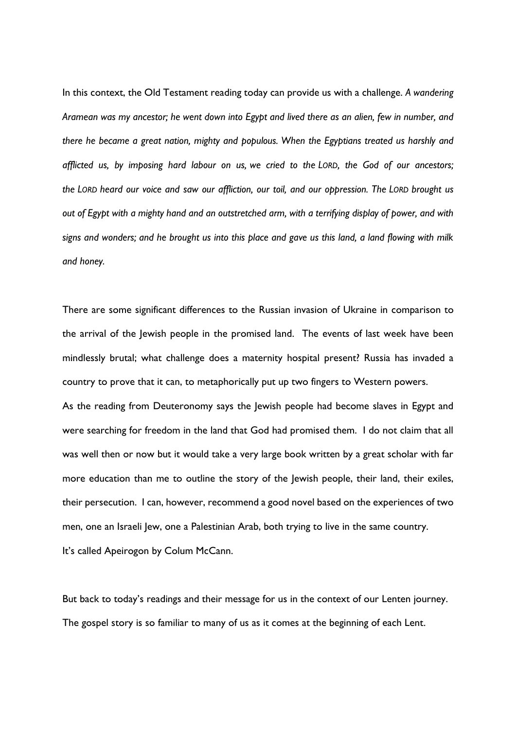In this context, the Old Testament reading today can provide us with a challenge. *A wandering Aramean was my ancestor; he went down into Egypt and lived there as an alien, few in number, and there he became a great nation, mighty and populous. When the Egyptians treated us harshly and afflicted us, by imposing hard labour on us, we cried to the LORD, the God of our ancestors; the LORD heard our voice and saw our affliction, our toil, and our oppression. The LORD brought us out of Egypt with a mighty hand and an outstretched arm, with a terrifying display of power, and with signs and wonders; and he brought us into this place and gave us this land, a land flowing with milk and honey.*

There are some significant differences to the Russian invasion of Ukraine in comparison to the arrival of the Jewish people in the promised land. The events of last week have been mindlessly brutal; what challenge does a maternity hospital present? Russia has invaded a country to prove that it can, to metaphorically put up two fingers to Western powers.

As the reading from Deuteronomy says the Jewish people had become slaves in Egypt and were searching for freedom in the land that God had promised them. I do not claim that all was well then or now but it would take a very large book written by a great scholar with far more education than me to outline the story of the Jewish people, their land, their exiles, their persecution. I can, however, recommend a good novel based on the experiences of two men, one an Israeli Jew, one a Palestinian Arab, both trying to live in the same country. It's called Apeirogon by Colum McCann.

But back to today's readings and their message for us in the context of our Lenten journey. The gospel story is so familiar to many of us as it comes at the beginning of each Lent.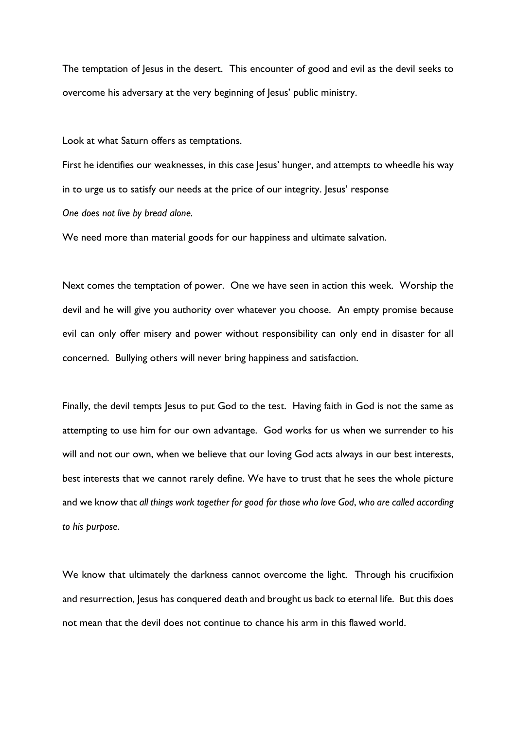The temptation of Jesus in the desert. This encounter of good and evil as the devil seeks to overcome his adversary at the very beginning of Jesus' public ministry.

Look at what Saturn offers as temptations.

First he identifies our weaknesses, in this case Jesus' hunger, and attempts to wheedle his way in to urge us to satisfy our needs at the price of our integrity. Jesus' response *One does not live by bread alone.*

We need more than material goods for our happiness and ultimate salvation.

Next comes the temptation of power. One we have seen in action this week. Worship the devil and he will give you authority over whatever you choose. An empty promise because evil can only offer misery and power without responsibility can only end in disaster for all concerned. Bullying others will never bring happiness and satisfaction.

Finally, the devil tempts Jesus to put God to the test. Having faith in God is not the same as attempting to use him for our own advantage. God works for us when we surrender to his will and not our own, when we believe that our loving God acts always in our best interests, best interests that we cannot rarely define. We have to trust that he sees the whole picture and we know that *all things work together for good for those who love God*, *who are called according to his purpose*.

We know that ultimately the darkness cannot overcome the light. Through his crucifixion and resurrection, Jesus has conquered death and brought us back to eternal life. But this does not mean that the devil does not continue to chance his arm in this flawed world.